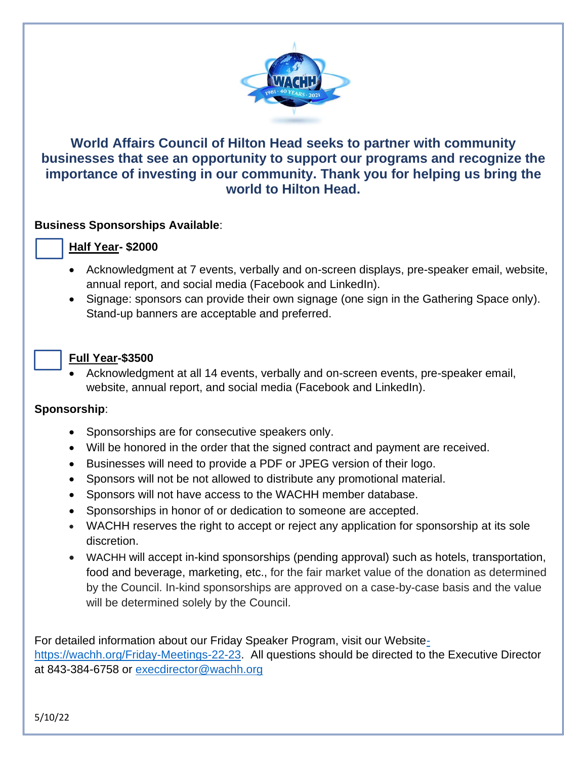

# **World Affairs Council of Hilton Head seeks to partner with community businesses that see an opportunity to support our programs and recognize the importance of investing in our community. Thank you for helping us bring the world to Hilton Head.**

## **Business Sponsorships Available**:

#### **Half Year- \$2000**

- Acknowledgment at 7 events, verbally and on-screen displays, pre-speaker email, website, annual report, and social media (Facebook and LinkedIn).
- Signage: sponsors can provide their own signage (one sign in the Gathering Space only). Stand-up banners are acceptable and preferred.

## • **Full Year-\$3500**

• Acknowledgment at all 14 events, verbally and on-screen events, pre-speaker email, website, annual report, and social media (Facebook and LinkedIn).

# **Sponsorship**:

- Sponsorships are for consecutive speakers only.
- Will be honored in the order that the signed contract and payment are received.
- Businesses will need to provide a PDF or JPEG version of their logo.
- Sponsors will not be not allowed to distribute any promotional material.
- Sponsors will not have access to the WACHH member database.
- Sponsorships in honor of or dedication to someone are accepted.
- WACHH reserves the right to accept or reject any application for sponsorship at its sole discretion.
- WACHH will accept in-kind sponsorships (pending approval) such as hotels, transportation, food and beverage, marketing, etc., for the fair market value of the donation as determined by the Council. In-kind sponsorships are approved on a case-by-case basis and the value will be determined solely by the Council.

For detailed information about our Friday Speaker Program, visit our Websit[e](-%20https:/wachh.org/Friday-Meetings-22-23)[https://wachh.org/Friday-Meetings-22-23.](-%20https:/wachh.org/Friday-Meetings-22-23) All questions should be directed to the Executive Director at 843-384-6758 or [execdirector@wachh.org](mailto:execdirector@wachh.org)